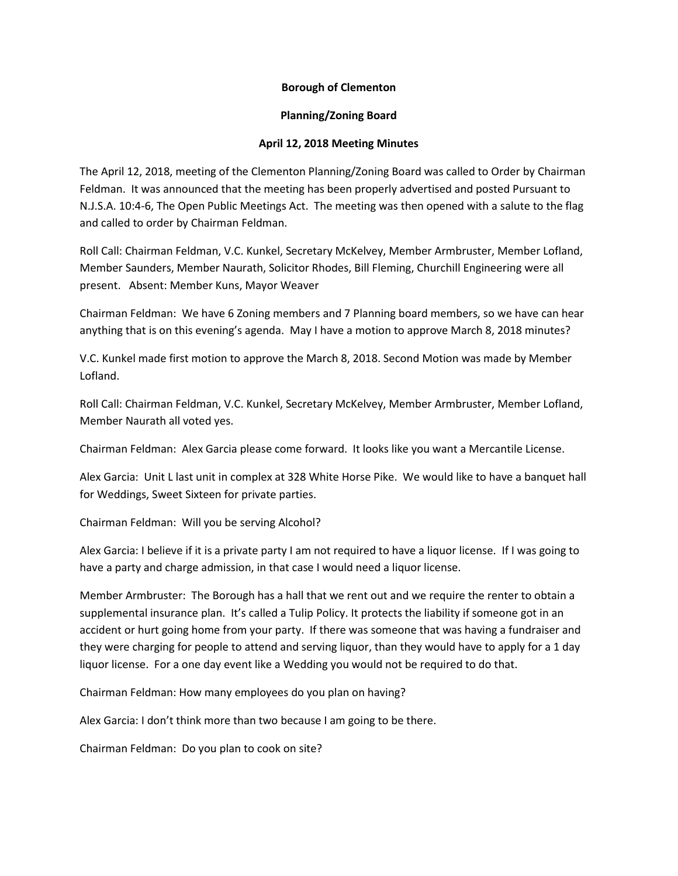## **Borough of Clementon**

## **Planning/Zoning Board**

## **April 12, 2018 Meeting Minutes**

The April 12, 2018, meeting of the Clementon Planning/Zoning Board was called to Order by Chairman Feldman. It was announced that the meeting has been properly advertised and posted Pursuant to N.J.S.A. 10:4-6, The Open Public Meetings Act. The meeting was then opened with a salute to the flag and called to order by Chairman Feldman.

Roll Call: Chairman Feldman, V.C. Kunkel, Secretary McKelvey, Member Armbruster, Member Lofland, Member Saunders, Member Naurath, Solicitor Rhodes, Bill Fleming, Churchill Engineering were all present. Absent: Member Kuns, Mayor Weaver

Chairman Feldman: We have 6 Zoning members and 7 Planning board members, so we have can hear anything that is on this evening's agenda. May I have a motion to approve March 8, 2018 minutes?

V.C. Kunkel made first motion to approve the March 8, 2018. Second Motion was made by Member Lofland.

Roll Call: Chairman Feldman, V.C. Kunkel, Secretary McKelvey, Member Armbruster, Member Lofland, Member Naurath all voted yes.

Chairman Feldman: Alex Garcia please come forward. It looks like you want a Mercantile License.

Alex Garcia: Unit L last unit in complex at 328 White Horse Pike. We would like to have a banquet hall for Weddings, Sweet Sixteen for private parties.

Chairman Feldman: Will you be serving Alcohol?

Alex Garcia: I believe if it is a private party I am not required to have a liquor license. If I was going to have a party and charge admission, in that case I would need a liquor license.

Member Armbruster: The Borough has a hall that we rent out and we require the renter to obtain a supplemental insurance plan. It's called a Tulip Policy. It protects the liability if someone got in an accident or hurt going home from your party. If there was someone that was having a fundraiser and they were charging for people to attend and serving liquor, than they would have to apply for a 1 day liquor license. For a one day event like a Wedding you would not be required to do that.

Chairman Feldman: How many employees do you plan on having?

Alex Garcia: I don't think more than two because I am going to be there.

Chairman Feldman: Do you plan to cook on site?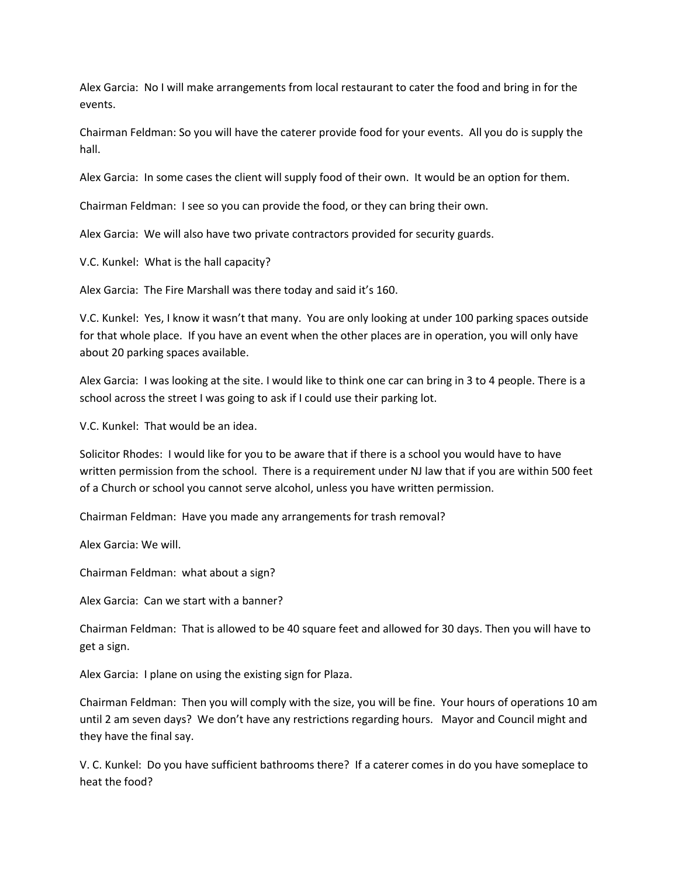Alex Garcia: No I will make arrangements from local restaurant to cater the food and bring in for the events.

Chairman Feldman: So you will have the caterer provide food for your events. All you do is supply the hall.

Alex Garcia: In some cases the client will supply food of their own. It would be an option for them.

Chairman Feldman: I see so you can provide the food, or they can bring their own.

Alex Garcia: We will also have two private contractors provided for security guards.

V.C. Kunkel: What is the hall capacity?

Alex Garcia: The Fire Marshall was there today and said it's 160.

V.C. Kunkel: Yes, I know it wasn't that many. You are only looking at under 100 parking spaces outside for that whole place. If you have an event when the other places are in operation, you will only have about 20 parking spaces available.

Alex Garcia: I was looking at the site. I would like to think one car can bring in 3 to 4 people. There is a school across the street I was going to ask if I could use their parking lot.

V.C. Kunkel: That would be an idea.

Solicitor Rhodes: I would like for you to be aware that if there is a school you would have to have written permission from the school. There is a requirement under NJ law that if you are within 500 feet of a Church or school you cannot serve alcohol, unless you have written permission.

Chairman Feldman: Have you made any arrangements for trash removal?

Alex Garcia: We will.

Chairman Feldman: what about a sign?

Alex Garcia: Can we start with a banner?

Chairman Feldman: That is allowed to be 40 square feet and allowed for 30 days. Then you will have to get a sign.

Alex Garcia: I plane on using the existing sign for Plaza.

Chairman Feldman: Then you will comply with the size, you will be fine. Your hours of operations 10 am until 2 am seven days? We don't have any restrictions regarding hours. Mayor and Council might and they have the final say.

V. C. Kunkel: Do you have sufficient bathrooms there? If a caterer comes in do you have someplace to heat the food?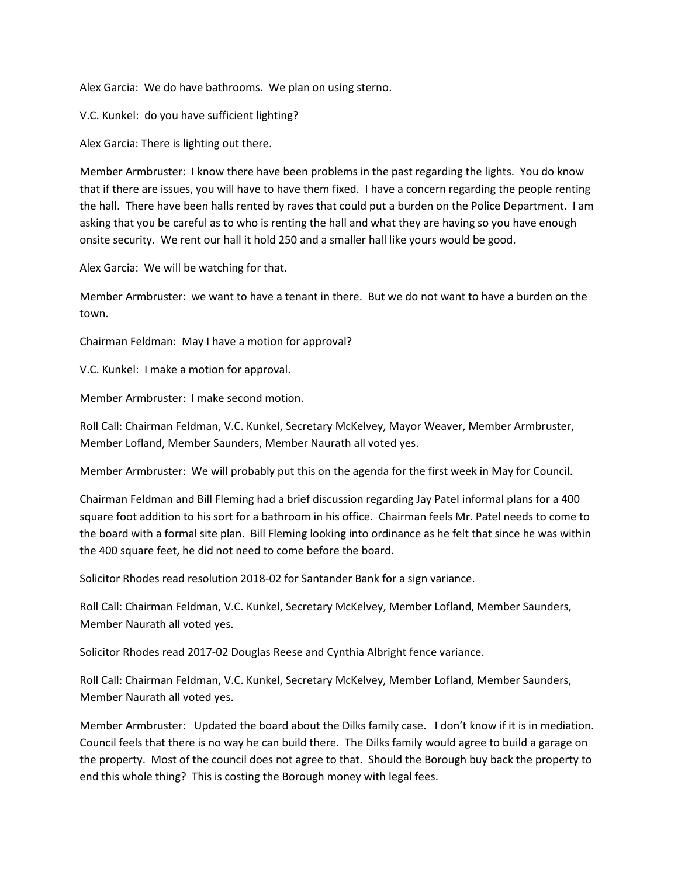Alex Garcia: We do have bathrooms. We plan on using sterno.

V.C. Kunkel: do you have sufficient lighting?

Alex Garcia: There is lighting out there.

Member Armbruster: I know there have been problems in the past regarding the lights. You do know that if there are issues, you will have to have them fixed. I have a concern regarding the people renting the hall. There have been halls rented by raves that could put a burden on the Police Department. I am asking that you be careful as to who is renting the hall and what they are having so you have enough onsite security. We rent our hall it hold 250 and a smaller hall like yours would be good.

Alex Garcia: We will be watching for that.

Member Armbruster: we want to have a tenant in there. But we do not want to have a burden on the town.

Chairman Feldman: May I have a motion for approval?

V.C. Kunkel: I make a motion for approval.

Member Armbruster: I make second motion.

Roll Call: Chairman Feldman, V.C. Kunkel, Secretary McKelvey, Mayor Weaver, Member Armbruster, Member Lofland, Member Saunders, Member Naurath all voted yes.

Member Armbruster: We will probably put this on the agenda for the first week in May for Council.

Chairman Feldman and Bill Fleming had a brief discussion regarding Jay Patel informal plans for a 400 square foot addition to his sort for a bathroom in his office. Chairman feels Mr. Patel needs to come to the board with a formal site plan. Bill Fleming looking into ordinance as he felt that since he was within the 400 square feet, he did not need to come before the board.

Solicitor Rhodes read resolution 2018-02 for Santander Bank for a sign variance.

Roll Call: Chairman Feldman, V.C. Kunkel, Secretary McKelvey, Member Lofland, Member Saunders, Member Naurath all voted yes.

Solicitor Rhodes read 2017-02 Douglas Reese and Cynthia Albright fence variance.

Roll Call: Chairman Feldman, V.C. Kunkel, Secretary McKelvey, Member Lofland, Member Saunders, Member Naurath all voted yes.

Member Armbruster: Updated the board about the Dilks family case. I don't know if it is in mediation. Council feels that there is no way he can build there. The Dilks family would agree to build a garage on the property. Most of the council does not agree to that. Should the Borough buy back the property to end this whole thing? This is costing the Borough money with legal fees.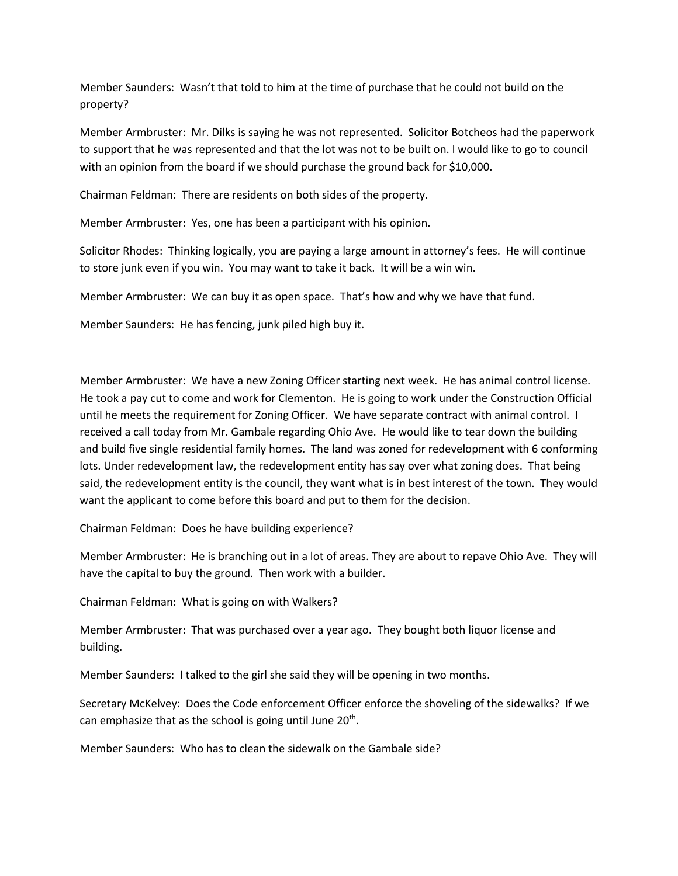Member Saunders: Wasn't that told to him at the time of purchase that he could not build on the property?

Member Armbruster: Mr. Dilks is saying he was not represented. Solicitor Botcheos had the paperwork to support that he was represented and that the lot was not to be built on. I would like to go to council with an opinion from the board if we should purchase the ground back for \$10,000.

Chairman Feldman: There are residents on both sides of the property.

Member Armbruster: Yes, one has been a participant with his opinion.

Solicitor Rhodes: Thinking logically, you are paying a large amount in attorney's fees. He will continue to store junk even if you win. You may want to take it back. It will be a win win.

Member Armbruster: We can buy it as open space. That's how and why we have that fund.

Member Saunders: He has fencing, junk piled high buy it.

Member Armbruster: We have a new Zoning Officer starting next week. He has animal control license. He took a pay cut to come and work for Clementon. He is going to work under the Construction Official until he meets the requirement for Zoning Officer. We have separate contract with animal control. I received a call today from Mr. Gambale regarding Ohio Ave. He would like to tear down the building and build five single residential family homes. The land was zoned for redevelopment with 6 conforming lots. Under redevelopment law, the redevelopment entity has say over what zoning does. That being said, the redevelopment entity is the council, they want what is in best interest of the town. They would want the applicant to come before this board and put to them for the decision.

Chairman Feldman: Does he have building experience?

Member Armbruster: He is branching out in a lot of areas. They are about to repave Ohio Ave. They will have the capital to buy the ground. Then work with a builder.

Chairman Feldman: What is going on with Walkers?

Member Armbruster: That was purchased over a year ago. They bought both liquor license and building.

Member Saunders: I talked to the girl she said they will be opening in two months.

Secretary McKelvey: Does the Code enforcement Officer enforce the shoveling of the sidewalks? If we can emphasize that as the school is going until June 20<sup>th</sup>.

Member Saunders: Who has to clean the sidewalk on the Gambale side?